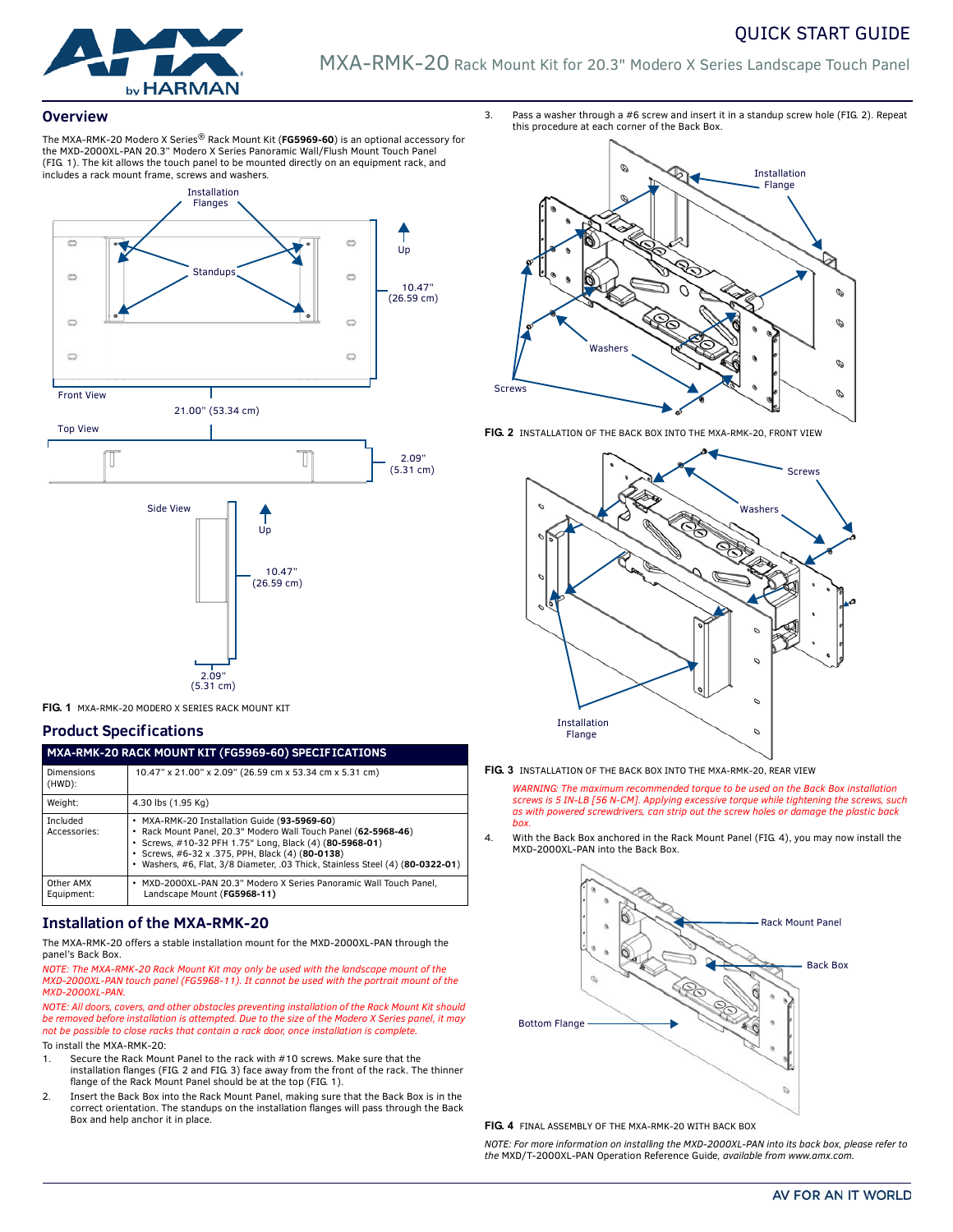# QUICK START GUIDE



MXA-RMK-20 Rack Mount Kit for 20.3" Modero X Series Landscape Touch Panel

#### **Overview**

The MXA-RMK-20 Modero X Series® Rack Mount Kit (**FG5969-60**) is an optional accessory for the MXD-2000XL-PAN 20.3" Modero X Series Panoramic Wall/Flush Mount Touch Panel ([FIG. 1\)](#page-0-2). The kit allows the touch panel to be mounted directly on an equipment rack, and includes a rack mount frame, screws and washers.





<span id="page-0-2"></span>**FIG. 1** MXA-RMK-20 MODERO X SERIES RACK MOUNT KIT

### **Product Specifications**

| MXA-RMK-20 RACK MOUNT KIT (FG5969-60) SPECIF ICATIONS |                                                                                                                                                                                                                                                                                                               |
|-------------------------------------------------------|---------------------------------------------------------------------------------------------------------------------------------------------------------------------------------------------------------------------------------------------------------------------------------------------------------------|
| Dimensions<br>$(HWD)$ :                               | 10.47" x 21.00" x 2.09" (26.59 cm x 53.34 cm x 5.31 cm)                                                                                                                                                                                                                                                       |
| Weight:                                               | 4.30 lbs (1.95 Kg)                                                                                                                                                                                                                                                                                            |
| Included<br>Accessories:                              | • MXA-RMK-20 Installation Guide (93-5969-60)<br>· Rack Mount Panel, 20.3" Modero Wall Touch Panel (62-5968-46)<br>· Screws, #10-32 PFH 1.75" Long, Black (4) (80-5968-01)<br>• Screws, #6-32 x .375, PPH, Black (4) (80-0138)<br>Washers, #6, Flat, 3/8 Diameter, .03 Thick, Stainless Steel (4) (80-0322-01) |
| Other AMX<br>Equipment:                               | MXD-2000XL-PAN 20.3" Modero X Series Panoramic Wall Touch Panel.<br>٠<br>Landscape Mount (FG5968-11)                                                                                                                                                                                                          |

### **Installation of the MXA-RMK-20**

The MXA-RMK-20 offers a stable installation mount for the MXD-2000XL-PAN through the panel's Back Box.

*NOTE: The MXA-RMK-20 Rack Mount Kit may only be used with the landscape mount of the MXD-2000XL-PAN touch panel (FG5968-11). It cannot be used with the portrait mount of the MXD-2000XL-PAN.*

*NOTE: All doors, covers, and other obstacles preventing installation of the Rack Mount Kit should be removed before installation is attempted. Due to the size of the Modero X Series panel, it may not be possible to close racks that contain a rack door, once installation is complete.*

- To install the MXA-RMK-20:
- 1. Secure the Rack Mount Panel to the rack with #10 screws. Make sure that the installation flanges [\(FIG. 2](#page-0-0) and [FIG. 3\)](#page-0-1) face away from the front of the rack. The thinner flange of the Rack Mount Panel should be at the top ([FIG. 1\)](#page-0-2).
- 2. Insert the Back Box into the Rack Mount Panel, making sure that the Back Box is in the correct orientation. The standups on the installation flanges will pass through the Back Box and help anchor it in place.

3. Pass a washer through a #6 screw and insert it in a standup screw hole ([FIG. 2](#page-0-0)). Repeat this procedure at each corner of the Back Box.



<span id="page-0-0"></span>**FIG. 2** INSTALLATION OF THE BACK BOX INTO THE MXA-RMK-20, FRONT VIEW



<span id="page-0-1"></span>**FIG. 3** INSTALLATION OF THE BACK BOX INTO THE MXA-RMK-20, REAR VIEW

*WARNING: The maximum recommended torque to be used on the Back Box installation screws is 5 IN-LB [56 N-CM]. Applying excessive torque while tightening the screws, such as with powered screwdrivers, can strip out the screw holes or damage the plastic back box.*

4. With the Back Box anchored in the Rack Mount Panel ([FIG. 4](#page-0-3)), you may now install the MXD-2000XL-PAN into the Back Box.



#### <span id="page-0-3"></span>**FIG. 4** FINAL ASSEMBLY OF THE MXA-RMK-20 WITH BACK BOX

*NOTE: For more information on installing the MXD-2000XL-PAN into its back box, please refer to the* MXD/T-2000XL-PAN Operation Reference Guide*, available from www.amx.com.*